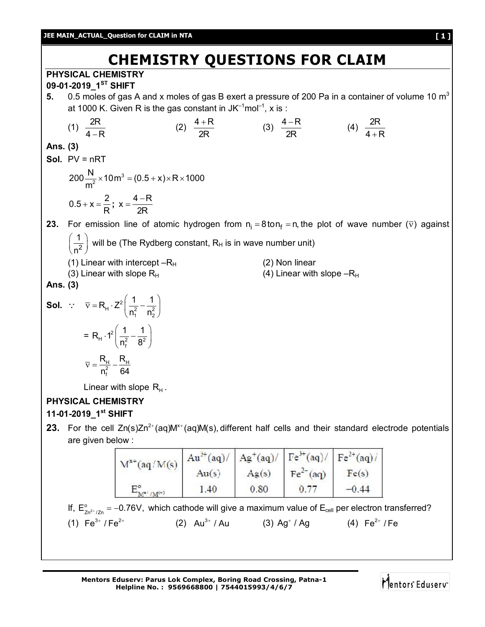#### **JEE MAIN\_ACTUAL\_Question for CLAIM in NTA [ 1 ]**

# **CHEMISTRY QUESTIONS FOR CLAIM**

**PHYSICAL CHEMISTRY 09-01-2019\_1ST SHIFT**

**5.** 0.5 moles of gas A and x moles of gas B exert a pressure of 200 Pa in a container of volume 10 m<sup>3</sup> at 1000 K. Given R is the gas constant in JK $^{-1}$ mol $^{-1}$ , x is :

(1) 
$$
\frac{2R}{4-R}
$$
 (2)  $\frac{4+R}{2R}$  (3)  $\frac{4-R}{2R}$  (4)  $\frac{2R}{4+R}$ 

**Ans. (3)**

**Sol.** PV = nRT

$$
200 \frac{N}{m^2} \times 10 m^3 = (0.5 + x) \times R \times 1000
$$
  
0.5 + x =  $\frac{2}{R}$ ; x =  $\frac{4 - R}{2R}$ 

**23.** For emission line of atomic hydrogen from  $n_i = 8$ ton  $f_i = n$ , the plot of wave number ( $\overline{v}$ ) against

2 1 will be (The Rydberg constant,  $R_H$  is in wave number unit)

- n (1) Linear with intercept  $-R_H$  (2) Non linear
- (3) Linear with slope  $R_H$  (4) Linear with slope  $-R_H$
- **Ans. (3)**

**Sol.** 
$$
\vec{v} = R_{H} \cdot Z^{2} \left( \frac{1}{n_{1}^{2}} - \frac{1}{n_{2}^{2}} \right)
$$

$$
= R_{H} \cdot 1^{2} \left( \frac{1}{n_{f}^{2}} - \frac{1}{8^{2}} \right)
$$

$$
\vec{v} = \frac{R_{H}}{n_{f}^{2}} - \frac{R_{H}}{64}
$$

Linear with slope  $\, {\mathsf R}_{\rm H}^{}$  .

## **PHYSICAL CHEMISTRY**

### **11-01-2019\_1st SHIFT**

**23.** For the cell  $Zn(s)Zn^{2+}(aq)M^{*+}(aq)M(s)$ , different half cells and their standard electrode potentials are given below :

| $M^{x+}(aq/M(s))$           | $Au^{3+}(aq)/ Ag^{+}(aq)/ Fe^{3+}(aq)/ Fe^{2+}(aq)/ $ |       |                             |         |
|-----------------------------|-------------------------------------------------------|-------|-----------------------------|---------|
|                             | Au(s)                                                 | Ag(s) | $\text{Fe}^{2+}(\text{aq})$ | Fe(s)   |
| $M^{\mathbf{z}+}/M^{\{v\}}$ | 1.40                                                  | 0.80  |                             | $-0.44$ |

If,  $E_{\text{Zn}^{2+}/\text{Zn}}^{\circ}$  = -0.76V, which cathode will give a maximum value of  $E_{cell}$  per electron transferred? (1)  $Fe^{3+} / Fe^{2+}$ Au $^{3+}$  / Au  $\hspace{1cm}$  (3) Ag $^+$  / Ag  $\hspace{1cm}$  (4) Fe $^{2+}$  / Fe